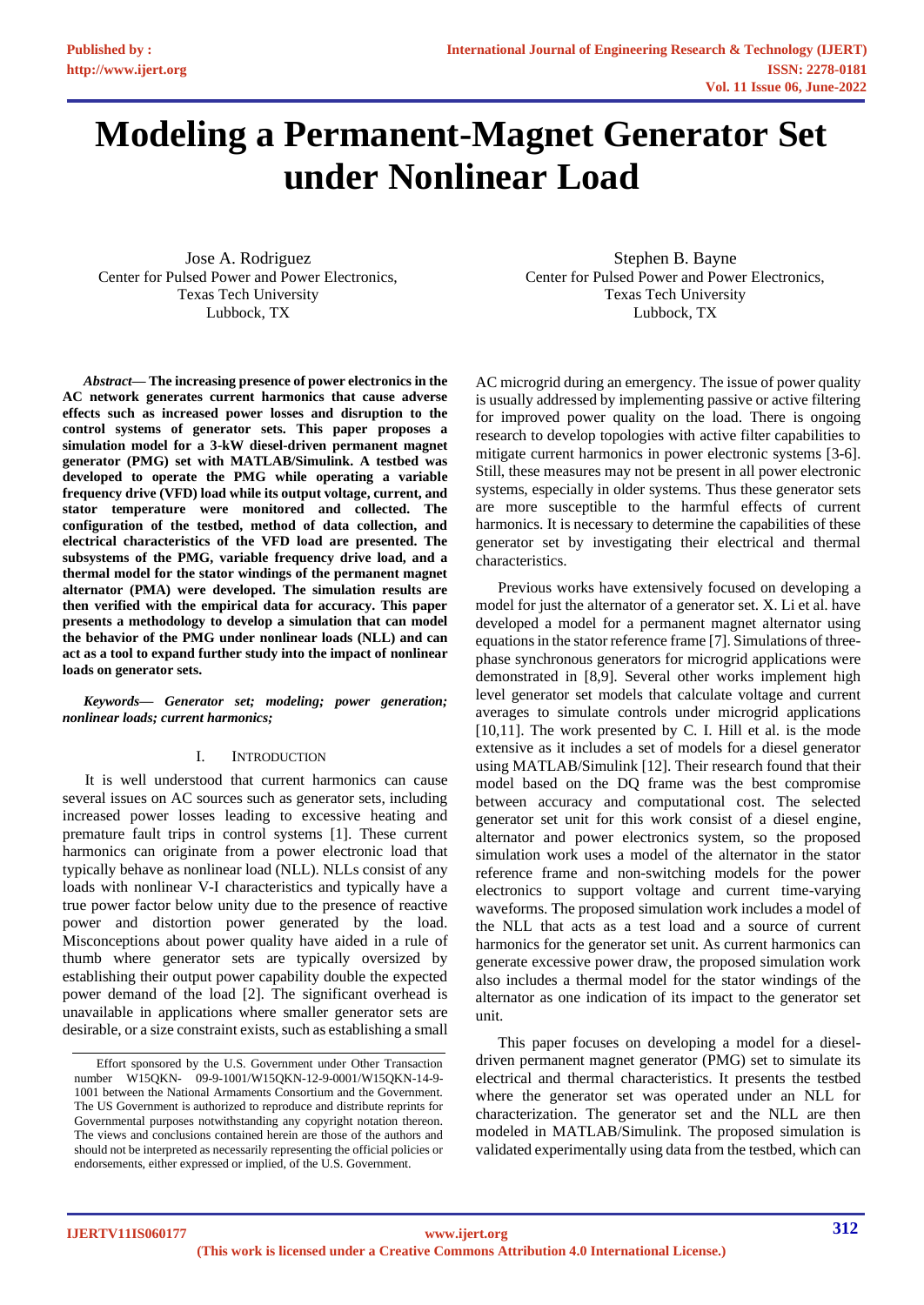# **Modeling a Permanent-Magnet Generator Set under Nonlinear Load**

Jose A. Rodriguez Center for Pulsed Power and Power Electronics, Texas Tech University Lubbock, TX

*Abstract***— The increasing presence of power electronics in the AC network generates current harmonics that cause adverse effects such as increased power losses and disruption to the control systems of generator sets. This paper proposes a simulation model for a 3-kW diesel-driven permanent magnet generator (PMG) set with MATLAB/Simulink. A testbed was developed to operate the PMG while operating a variable frequency drive (VFD) load while its output voltage, current, and stator temperature were monitored and collected. The configuration of the testbed, method of data collection, and electrical characteristics of the VFD load are presented. The subsystems of the PMG, variable frequency drive load, and a thermal model for the stator windings of the permanent magnet alternator (PMA) were developed. The simulation results are then verified with the empirical data for accuracy. This paper presents a methodology to develop a simulation that can model the behavior of the PMG under nonlinear loads (NLL) and can act as a tool to expand further study into the impact of nonlinear loads on generator sets.**

*Keywords— Generator set; modeling; power generation; nonlinear loads; current harmonics;*

## I. INTRODUCTION

It is well understood that current harmonics can cause several issues on AC sources such as generator sets, including increased power losses leading to excessive heating and premature fault trips in control systems [1]. These current harmonics can originate from a power electronic load that typically behave as nonlinear load (NLL). NLLs consist of any loads with nonlinear V-I characteristics and typically have a true power factor below unity due to the presence of reactive power and distortion power generated by the load. Misconceptions about power quality have aided in a rule of thumb where generator sets are typically oversized by establishing their output power capability double the expected power demand of the load [2]. The significant overhead is unavailable in applications where smaller generator sets are desirable, or a size constraint exists, such as establishing a small

Stephen B. Bayne Center for Pulsed Power and Power Electronics, Texas Tech University Lubbock, TX

AC microgrid during an emergency. The issue of power quality is usually addressed by implementing passive or active filtering for improved power quality on the load. There is ongoing research to develop topologies with active filter capabilities to mitigate current harmonics in power electronic systems [3-6]. Still, these measures may not be present in all power electronic systems, especially in older systems. Thus these generator sets are more susceptible to the harmful effects of current harmonics. It is necessary to determine the capabilities of these generator set by investigating their electrical and thermal characteristics.

Previous works have extensively focused on developing a model for just the alternator of a generator set. X. Li et al. have developed a model for a permanent magnet alternator using equations in the stator reference frame [7]. Simulations of threephase synchronous generators for microgrid applications were demonstrated in [8,9]. Several other works implement high level generator set models that calculate voltage and current averages to simulate controls under microgrid applications [10,11]. The work presented by C. I. Hill et al. is the mode extensive as it includes a set of models for a diesel generator using MATLAB/Simulink [12]. Their research found that their model based on the DQ frame was the best compromise between accuracy and computational cost. The selected generator set unit for this work consist of a diesel engine, alternator and power electronics system, so the proposed simulation work uses a model of the alternator in the stator reference frame and non-switching models for the power electronics to support voltage and current time-varying waveforms. The proposed simulation work includes a model of the NLL that acts as a test load and a source of current harmonics for the generator set unit. As current harmonics can generate excessive power draw, the proposed simulation work also includes a thermal model for the stator windings of the alternator as one indication of its impact to the generator set unit.

This paper focuses on developing a model for a dieseldriven permanent magnet generator (PMG) set to simulate its electrical and thermal characteristics. It presents the testbed where the generator set was operated under an NLL for characterization. The generator set and the NLL are then modeled in MATLAB/Simulink. The proposed simulation is validated experimentally using data from the testbed, which can

Effort sponsored by the U.S. Government under Other Transaction number W15QKN- 09-9-1001/W15QKN-12-9-0001/W15QKN-14-9- 1001 between the National Armaments Consortium and the Government. The US Government is authorized to reproduce and distribute reprints for Governmental purposes notwithstanding any copyright notation thereon. The views and conclusions contained herein are those of the authors and should not be interpreted as necessarily representing the official policies or endorsements, either expressed or implied, of the U.S. Government.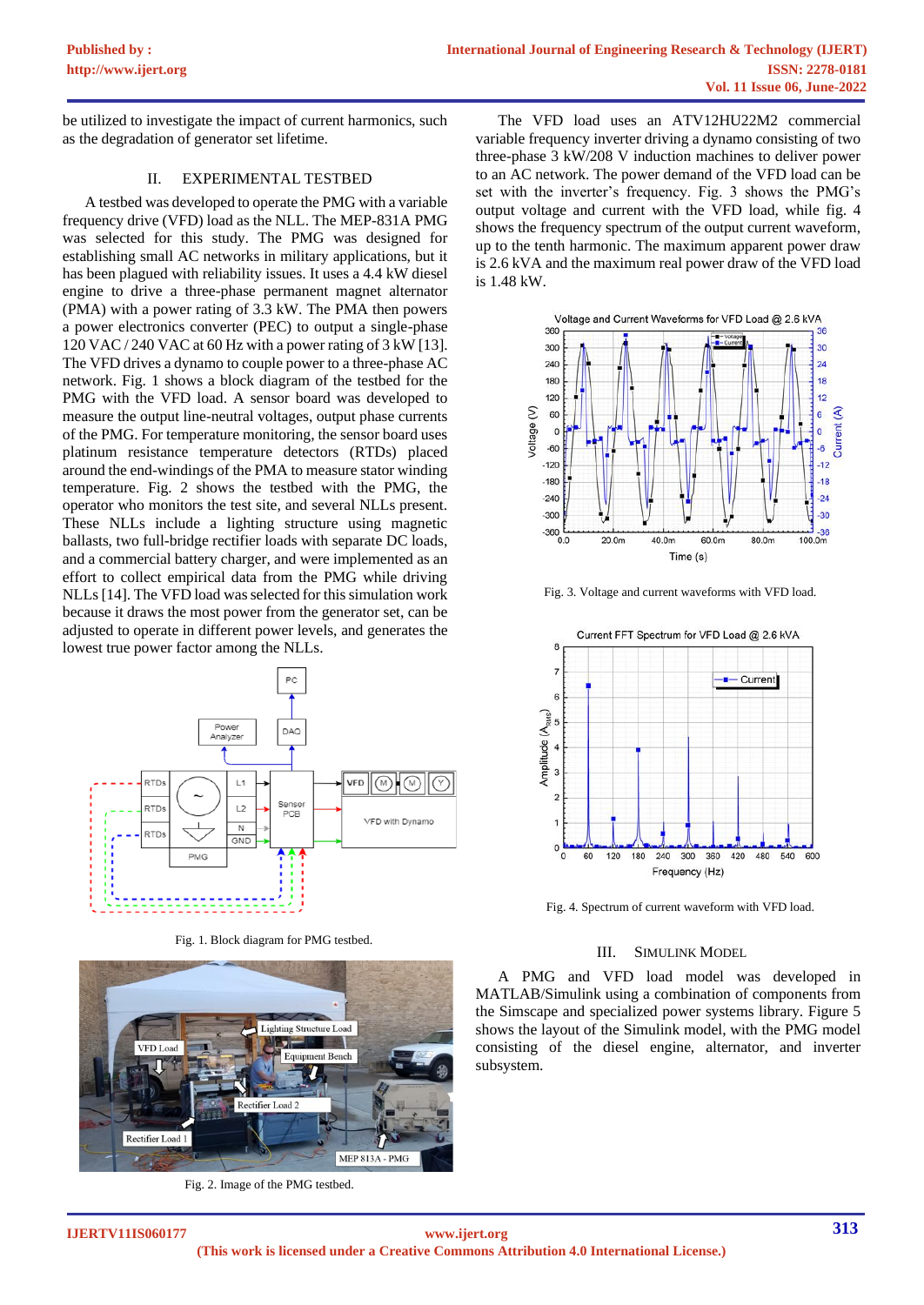be utilized to investigate the impact of current harmonics, such as the degradation of generator set lifetime.

# II. EXPERIMENTAL TESTBED

A testbed was developed to operate the PMG with a variable frequency drive (VFD) load as the NLL. The MEP-831A PMG was selected for this study. The PMG was designed for establishing small AC networks in military applications, but it has been plagued with reliability issues. It uses a 4.4 kW diesel engine to drive a three-phase permanent magnet alternator (PMA) with a power rating of 3.3 kW. The PMA then powers a power electronics converter (PEC) to output a single-phase 120 VAC / 240 VAC at 60 Hz with a power rating of 3 kW [13]. The VFD drives a dynamo to couple power to a three-phase AC network. Fig. 1 shows a block diagram of the testbed for the PMG with the VFD load. A sensor board was developed to measure the output line-neutral voltages, output phase currents of the PMG. For temperature monitoring, the sensor board uses platinum resistance temperature detectors (RTDs) placed around the end-windings of the PMA to measure stator winding temperature. Fig. 2 shows the testbed with the PMG, the operator who monitors the test site, and several NLLs present. These NLLs include a lighting structure using magnetic ballasts, two full-bridge rectifier loads with separate DC loads, and a commercial battery charger, and were implemented as an effort to collect empirical data from the PMG while driving NLLs [14]. The VFD load was selected for this simulation work because it draws the most power from the generator set, can be adjusted to operate in different power levels, and generates the lowest true power factor among the NLLs.



Fig. 1. Block diagram for PMG testbed.



Fig. 2. Image of the PMG testbed.

The VFD load uses an ATV12HU22M2 commercial variable frequency inverter driving a dynamo consisting of two three-phase 3 kW/208 V induction machines to deliver power to an AC network. The power demand of the VFD load can be set with the inverter's frequency. Fig. 3 shows the PMG's output voltage and current with the VFD load, while fig. 4 shows the frequency spectrum of the output current waveform, up to the tenth harmonic. The maximum apparent power draw is 2.6 kVA and the maximum real power draw of the VFD load is 1.48 kW.



Fig. 3. Voltage and current waveforms with VFD load.



Fig. 4. Spectrum of current waveform with VFD load.

## III. SIMULINK MODEL

A PMG and VFD load model was developed in MATLAB/Simulink using a combination of components from the Simscape and specialized power systems library. Figure 5 shows the layout of the Simulink model, with the PMG model consisting of the diesel engine, alternator, and inverter subsystem.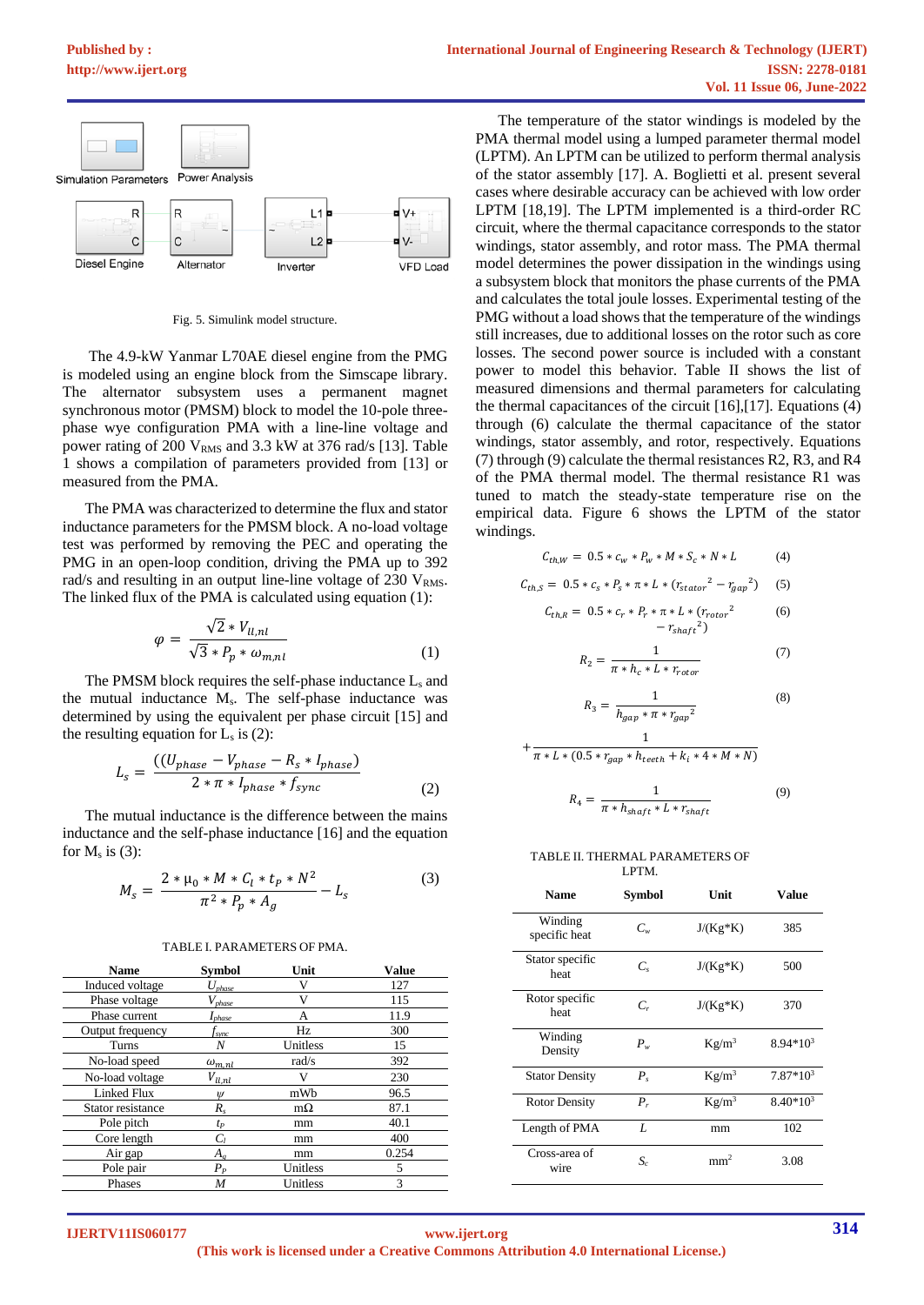

Fig. 5. Simulink model structure.

The 4.9-kW Yanmar L70AE diesel engine from the PMG is modeled using an engine block from the Simscape library. The alternator subsystem uses a permanent magnet synchronous motor (PMSM) block to model the 10-pole threephase wye configuration PMA with a line-line voltage and power rating of 200  $V<sub>RMS</sub>$  and 3.3 kW at 376 rad/s [13]. Table 1 shows a compilation of parameters provided from [13] or measured from the PMA.

The PMA was characterized to determine the flux and stator inductance parameters for the PMSM block. A no-load voltage test was performed by removing the PEC and operating the PMG in an open-loop condition, driving the PMA up to 392 rad/s and resulting in an output line-line voltage of 230 V<sub>RMS</sub>. The linked flux of the PMA is calculated using equation (1):

$$
\varphi = \frac{\sqrt{2} * V_{ll,nl}}{\sqrt{3} * P_p * \omega_{m,nl}}
$$
\n(1)

The PMSM block requires the self-phase inductance  $L_s$  and the mutual inductance Ms. The self-phase inductance was determined by using the equivalent per phase circuit [15] and the resulting equation for  $L_s$  is  $(2)$ :

$$
L_s = \frac{((U_{phase} - V_{phase} - R_s * I_{phase})}{2 * \pi * I_{phase} * f_{sync}} \tag{2}
$$

The mutual inductance is the difference between the mains inductance and the self-phase inductance [16] and the equation for  $M_s$  is (3):

$$
M_{s} = \frac{2 * \mu_{0} * M * C_{l} * t_{P} * N^{2}}{\pi^{2} * P_{p} * A_{g}} - L_{s}
$$
(3)

#### TABLE I. PARAMETERS OF PMA.

| <b>Name</b>        | <b>Symbol</b>                  | Unit      | <b>Value</b> |
|--------------------|--------------------------------|-----------|--------------|
| Induced voltage    | $U_{phase}$                    |           | 127          |
| Phase voltage      | $V_{phase}$                    |           | 115          |
| Phase current      | $I_{phase}$                    | А         | 11.9         |
| Output frequency   | t <sub>svnc</sub>              | Hz        | 300          |
| Turns              | Ν                              | Unitless  | 15           |
| No-load speed      | $\omega_{m,nl}$                | rad/s     | 392          |
| No-load voltage    | $V_{ll,nl}$                    |           | 230          |
| <b>Linked Flux</b> | $\mathbf{W}$                   | mWb       | 96.5         |
| Stator resistance  | $R_{s}$                        | $m\Omega$ | 87.1         |
| Pole pitch         | tp                             | mm        | 40.1         |
| Core length        | $C_{I}$                        | mm        | 400          |
| Air gap            | $A_{\scriptscriptstyle\sigma}$ | mm        | 0.254        |
| Pole pair          | $P_P$                          | Unitless  | 5            |
| Phases             | M                              | Unitless  | 3            |
|                    |                                |           |              |

The temperature of the stator windings is modeled by the PMA thermal model using a lumped parameter thermal model (LPTM). An LPTM can be utilized to perform thermal analysis of the stator assembly [17]. A. Boglietti et al. present several cases where desirable accuracy can be achieved with low order LPTM [18,19]. The LPTM implemented is a third-order RC circuit, where the thermal capacitance corresponds to the stator windings, stator assembly, and rotor mass. The PMA thermal model determines the power dissipation in the windings using a subsystem block that monitors the phase currents of the PMA and calculates the total joule losses. Experimental testing of the PMG without a load shows that the temperature of the windings still increases, due to additional losses on the rotor such as core losses. The second power source is included with a constant power to model this behavior. Table II shows the list of measured dimensions and thermal parameters for calculating the thermal capacitances of the circuit  $[16]$ ,  $[17]$ . Equations  $(4)$ through (6) calculate the thermal capacitance of the stator windings, stator assembly, and rotor, respectively. Equations (7) through (9) calculate the thermal resistances R2, R3, and R4 of the PMA thermal model. The thermal resistance R1 was tuned to match the steady-state temperature rise on the empirical data. Figure 6 shows the LPTM of the stator windings.

$$
C_{th,W} = 0.5 * c_w * P_w * M * S_c * N * L \tag{4}
$$

$$
C_{th,S} = 0.5 * c_s * P_s * \pi * L * (r_{stator}^2 - r_{gap}^2) \quad (5)
$$

$$
C_{th,R} = 0.5 * c_r * P_r * \pi * L * (r_{rotor}^2 - r_{shapt}^2)
$$
 (6)

$$
R_2 = \frac{1}{\pi * h_c * L * r_{rotor}}\tag{7}
$$

$$
R_3 = \frac{1}{h_{gap}*\pi * r_{gap}^2} \eqno(8)
$$

$$
+\frac{1}{\pi * L * (0.5 * r_{gap} * h_{teeth} + k_i * 4 * M * N)}
$$

$$
R_4 = \frac{1}{\pi * h_{shaft} * L * r_{shaft}} \tag{9}
$$

#### TABLE II. THERMAL PARAMETERS OF LPTM.

| <b>Name</b>              | Symbol  | Unit            | Value       |
|--------------------------|---------|-----------------|-------------|
| Winding<br>specific heat | $C_{w}$ | $J/(Kg*K)$      | 385         |
| Stator specific<br>heat  | $C_{s}$ | $J/(Kg*K)$      | 500         |
| Rotor specific<br>heat   | $C_r$   | $J/(Kg*K)$      | 370         |
| Winding<br>Density       | $P_w$   | $Kg/m^3$        | $8.94*10^3$ |
| <b>Stator Density</b>    | $P_{s}$ | $Kg/m^3$        | $7.87*10^3$ |
| <b>Rotor Density</b>     | $P_r$   | $Kg/m^3$        | $8.40*10^3$ |
| Length of PMA            | L       | mm              | 102         |
| Cross-area of<br>wire    | $S_c$   | mm <sup>2</sup> | 3.08        |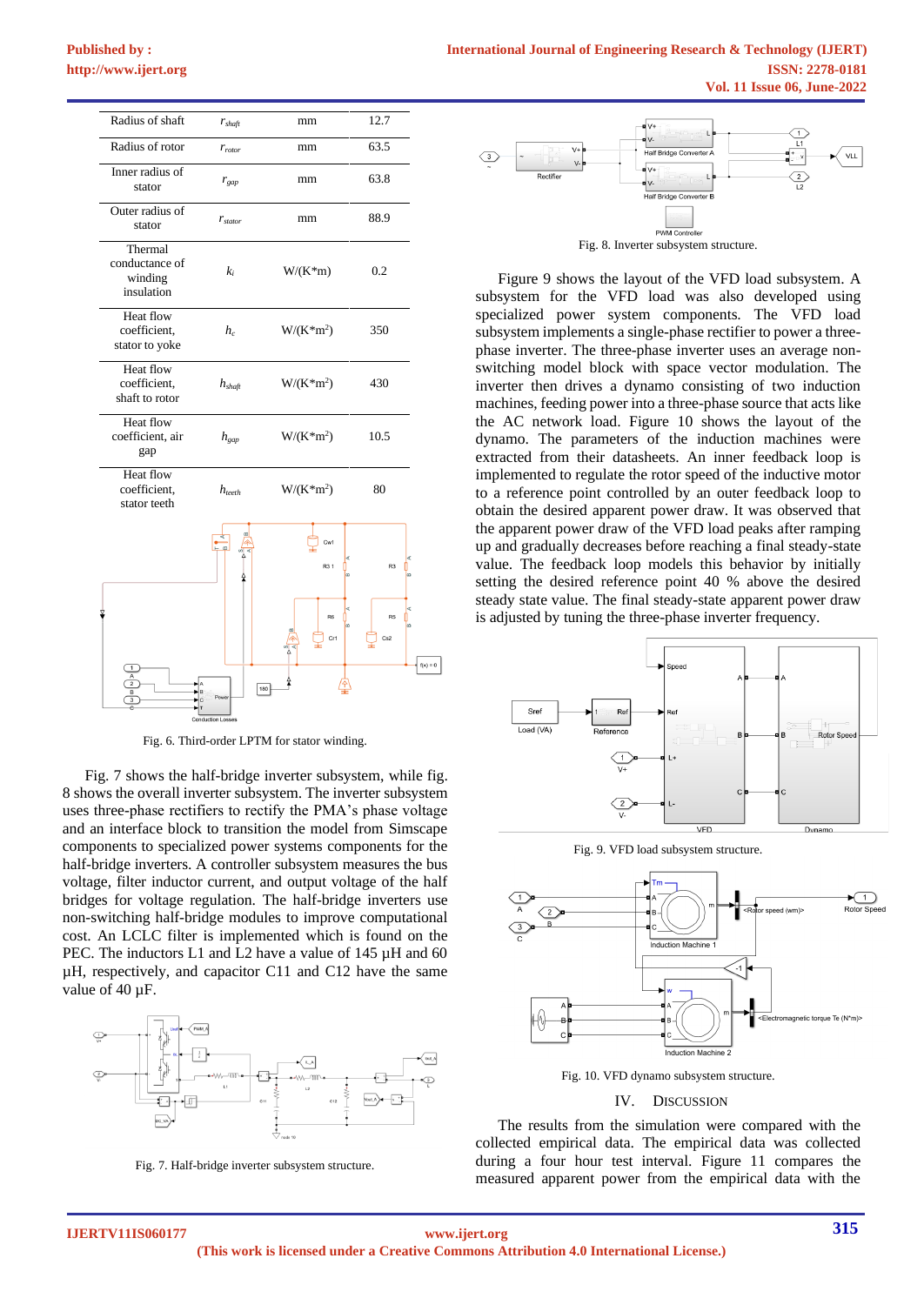| Radius of shaft                                    | $r_{\text{shaft}}$     | mm                                                                      | 12.7                                                              |
|----------------------------------------------------|------------------------|-------------------------------------------------------------------------|-------------------------------------------------------------------|
| Radius of rotor                                    | $r_{rotor}$            | mm                                                                      | 63.5                                                              |
| Inner radius of<br>stator                          | $r_{gap}$              | mm                                                                      | 63.8                                                              |
| Outer radius of<br>stator                          | $r_{\rm{star}}$        | mm                                                                      | 88.9                                                              |
| Thermal<br>conductance of<br>winding<br>insulation | $k_i$                  | $W/(K*m)$                                                               | 0.2                                                               |
| Heat flow<br>coefficient,<br>stator to yoke        | $h_c$                  | $W/(K*m^2)$                                                             | 350                                                               |
| <b>Heat flow</b><br>coefficient,<br>shaft to rotor | $h_{\text{shaff}}$     | $W/(K*m^2)$                                                             | 430                                                               |
| Heat flow<br>coefficient, air<br>gap               | $h_{\text{gap}}$       | $W/(K*m^2)$                                                             | 10.5                                                              |
| Heat flow<br>coefficient,<br>stator teeth          | $h_{\text{teeth}}$     | $W/(K*m^2)$                                                             | 80                                                                |
|                                                    | —<br>—<br>180<br>Power | Cw1<br>R <sub>3</sub> 1<br>œ<br>R <sub>6</sub><br>$\overline{m}$<br>Cr1 | R <sub>3</sub><br>R <sub>5</sub><br>Cs <sub>2</sub><br>$f(x) = 0$ |
|                                                    |                        |                                                                         |                                                                   |

Fig. 6. Third-order LPTM for stator winding.

Fig. 7 shows the half-bridge inverter subsystem, while fig. 8 shows the overall inverter subsystem. The inverter subsystem uses three-phase rectifiers to rectify the PMA's phase voltage and an interface block to transition the model from Simscape components to specialized power systems components for the half-bridge inverters. A controller subsystem measures the bus voltage, filter inductor current, and output voltage of the half bridges for voltage regulation. The half-bridge inverters use non-switching half-bridge modules to improve computational cost. An LCLC filter is implemented which is found on the PEC. The inductors L1 and L2 have a value of 145  $\mu$ H and 60 µH, respectively, and capacitor C11 and C12 have the same value of 40 µF.



Fig. 7. Half-bridge inverter subsystem structure.



Fig. 8. Inverter subsystem structure.

Figure 9 shows the layout of the VFD load subsystem. A subsystem for the VFD load was also developed using specialized power system components. The VFD load subsystem implements a single-phase rectifier to power a threephase inverter. The three-phase inverter uses an average nonswitching model block with space vector modulation. The inverter then drives a dynamo consisting of two induction machines, feeding power into a three-phase source that acts like the AC network load. Figure 10 shows the layout of the dynamo. The parameters of the induction machines were extracted from their datasheets. An inner feedback loop is implemented to regulate the rotor speed of the inductive motor to a reference point controlled by an outer feedback loop to obtain the desired apparent power draw. It was observed that the apparent power draw of the VFD load peaks after ramping up and gradually decreases before reaching a final steady-state value. The feedback loop models this behavior by initially setting the desired reference point 40 % above the desired steady state value. The final steady-state apparent power draw is adjusted by tuning the three-phase inverter frequency.



Fig. 9. VFD load subsystem structure.



Fig. 10. VFD dynamo subsystem structure.

#### IV. DISCUSSION

The results from the simulation were compared with the collected empirical data. The empirical data was collected during a four hour test interval. Figure 11 compares the measured apparent power from the empirical data with the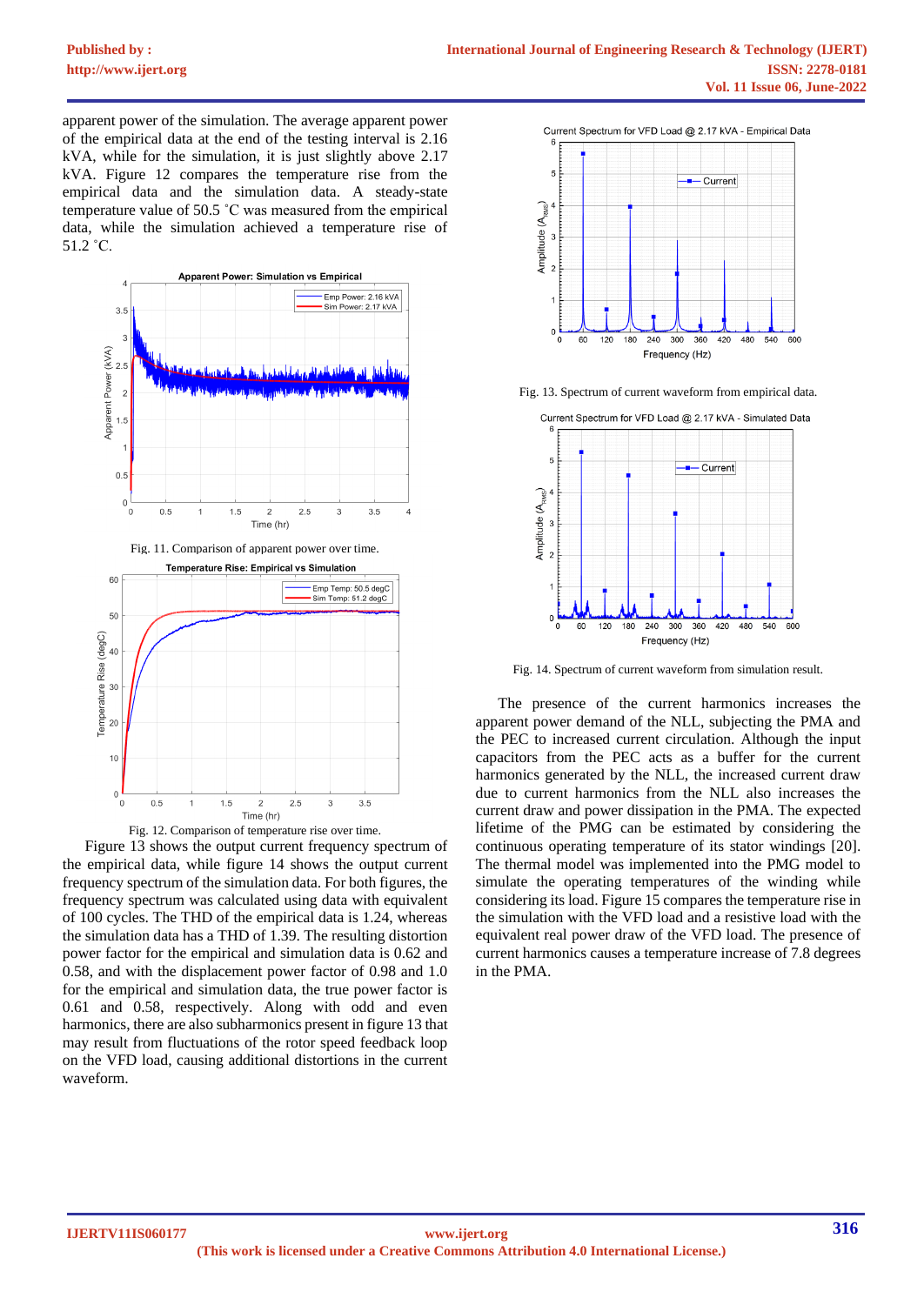apparent power of the simulation. The average apparent power of the empirical data at the end of the testing interval is 2.16 kVA, while for the simulation, it is just slightly above 2.17 kVA. Figure 12 compares the temperature rise from the empirical data and the simulation data. A steady-state temperature value of 50.5 ˚C was measured from the empirical data, while the simulation achieved a temperature rise of 51.2 ˚C.







Figure 13 shows the output current frequency spectrum of the empirical data, while figure 14 shows the output current frequency spectrum of the simulation data. For both figures, the frequency spectrum was calculated using data with equivalent of 100 cycles. The THD of the empirical data is 1.24, whereas the simulation data has a THD of 1.39. The resulting distortion power factor for the empirical and simulation data is 0.62 and 0.58, and with the displacement power factor of 0.98 and 1.0 for the empirical and simulation data, the true power factor is 0.61 and 0.58, respectively. Along with odd and even harmonics, there are also subharmonics present in figure 13 that may result from fluctuations of the rotor speed feedback loop on the VFD load, causing additional distortions in the current waveform.



Fig. 13. Spectrum of current waveform from empirical data.



Fig. 14. Spectrum of current waveform from simulation result.

The presence of the current harmonics increases the apparent power demand of the NLL, subjecting the PMA and the PEC to increased current circulation. Although the input capacitors from the PEC acts as a buffer for the current harmonics generated by the NLL, the increased current draw due to current harmonics from the NLL also increases the current draw and power dissipation in the PMA. The expected lifetime of the PMG can be estimated by considering the continuous operating temperature of its stator windings [20]. The thermal model was implemented into the PMG model to simulate the operating temperatures of the winding while considering its load. Figure 15 compares the temperature rise in the simulation with the VFD load and a resistive load with the equivalent real power draw of the VFD load. The presence of current harmonics causes a temperature increase of 7.8 degrees in the PMA.